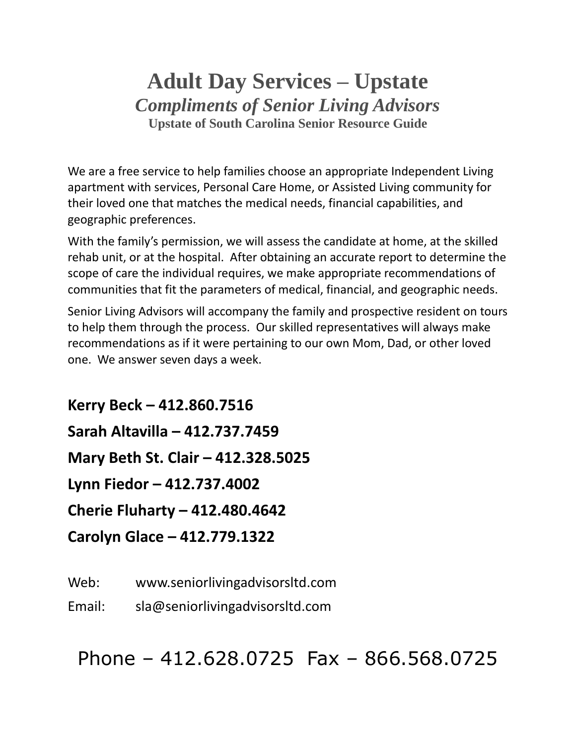# **Adult Day Services – Upstate** *Compliments of Senior Living Advisors* **Upstate of South Carolina Senior Resource Guide**

We are a free service to help families choose an appropriate Independent Living apartment with services, Personal Care Home, or Assisted Living community for their loved one that matches the medical needs, financial capabilities, and geographic preferences.

With the family's permission, we will assess the candidate at home, at the skilled rehab unit, or at the hospital. After obtaining an accurate report to determine the scope of care the individual requires, we make appropriate recommendations of communities that fit the parameters of medical, financial, and geographic needs.

Senior Living Advisors will accompany the family and prospective resident on tours to help them through the process. Our skilled representatives will always make recommendations as if it were pertaining to our own Mom, Dad, or other loved one. We answer seven days a week.

**Kerry Beck – 412.860.7516 Sarah Altavilla – 412.737.7459 Mary Beth St. Clair – 412.328.5025 Lynn Fiedor – 412.737.4002 Cherie Fluharty – 412.480.4642 Carolyn Glace – 412.779.1322**

Web: www.seniorlivingadvisorsltd.com

Email: sla@seniorlivingadvisorsltd.com

Phone – 412.628.0725 Fax – 866.568.0725